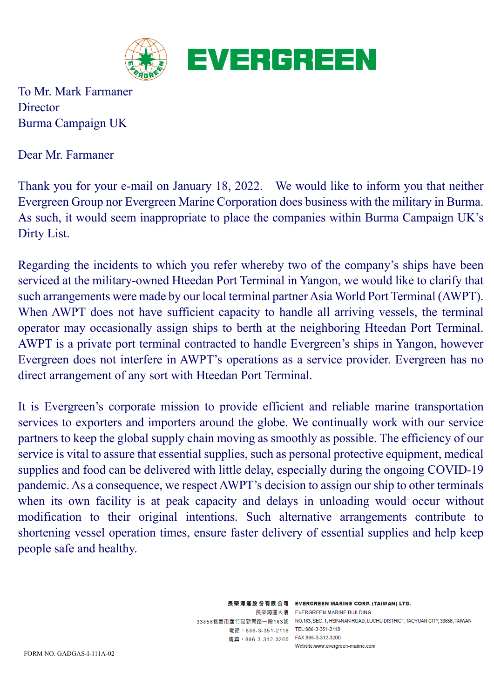

To Mr. Mark Farmaner **Director** Burma Campaign UK

Dear Mr. Farmaner

Thank you for your e-mail on January 18, 2022. We would like to inform you that neither Evergreen Group nor Evergreen Marine Corporation does business with the military in Burma. As such, it would seem inappropriate to place the companies within Burma Campaign UK's Dirty List.

Regarding the incidents to which you refer whereby two of the company's ships have been serviced at the military-owned Hteedan Port Terminal in Yangon, we would like to clarify that such arrangements were made by our local terminal partner Asia World Port Terminal (AWPT). When AWPT does not have sufficient capacity to handle all arriving vessels, the terminal operator may occasionally assign ships to berth at the neighboring Hteedan Port Terminal. AWPT is a private port terminal contracted to handle Evergreen's ships in Yangon, however Evergreen does not interfere in AWPT's operations as a service provider. Evergreen has no direct arrangement of any sort with Hteedan Port Terminal.

It is Evergreen's corporate mission to provide efficient and reliable marine transportation services to exporters and importers around the globe. We continually work with our service partners to keep the global supply chain moving as smoothly as possible. The efficiency of our service is vital to assure that essential supplies, such as personal protective equipment, medical supplies and food can be delivered with little delay, especially during the ongoing COVID-19 pandemic. As a consequence, we respect AWPT's decision to assign our ship to other terminals when its own facility is at peak capacity and delays in unloading would occur without modification to their original intentions. Such alternative arrangements contribute to shortening vessel operation times, ensure faster delivery of essential supplies and help keep people safe and healthy.

> 電話:886-3-351-2118 TEL:886-3-351-2118 傳真: 886-3-312-3200 FAX:886-3-312-3200

長榮海運股份有限公司 EVERGREEN MARINE CORP. (TAIWAN) LTD. 長榮海運大樓 EVERGREEN MARINE BUILDING 33858桃園市蘆竹區新南路一段163號 NO.163, SEC. 1, HSIN-NAN ROAD, LUCHU DISTRICT, TAOYUAN CITY, 33858, TAIWAN Website:www.evergreen-marine.com